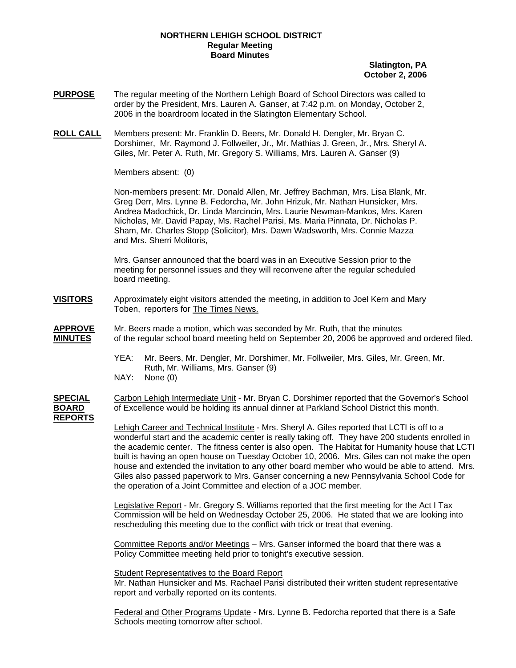## **NORTHERN LEHIGH SCHOOL DISTRICT Regular Meeting Board Minutes**

## **Slatington, PA October 2, 2006**

- **PURPOSE** The regular meeting of the Northern Lehigh Board of School Directors was called to order by the President, Mrs. Lauren A. Ganser, at 7:42 p.m. on Monday, October 2, 2006 in the boardroom located in the Slatington Elementary School.
- **ROLL CALL** Members present: Mr. Franklin D. Beers, Mr. Donald H. Dengler, Mr. Bryan C. Dorshimer, Mr. Raymond J. Follweiler, Jr., Mr. Mathias J. Green, Jr., Mrs. Sheryl A. Giles, Mr. Peter A. Ruth, Mr. Gregory S. Williams, Mrs. Lauren A. Ganser (9)

Members absent: (0)

Non-members present: Mr. Donald Allen, Mr. Jeffrey Bachman, Mrs. Lisa Blank, Mr. Greg Derr, Mrs. Lynne B. Fedorcha, Mr. John Hrizuk, Mr. Nathan Hunsicker, Mrs. Andrea Madochick, Dr. Linda Marcincin, Mrs. Laurie Newman-Mankos, Mrs. Karen Nicholas, Mr. David Papay, Ms. Rachel Parisi, Ms. Maria Pinnata, Dr. Nicholas P. Sham, Mr. Charles Stopp (Solicitor), Mrs. Dawn Wadsworth, Mrs. Connie Mazza and Mrs. Sherri Molitoris,

Mrs. Ganser announced that the board was in an Executive Session prior to the meeting for personnel issues and they will reconvene after the regular scheduled board meeting.

- **VISITORS** Approximately eight visitors attended the meeting, in addition to Joel Kern and Mary Toben, reporters for The Times News.
- **APPROVE** Mr. Beers made a motion, which was seconded by Mr. Ruth, that the minutes **MINUTES** of the regular school board meeting held on September 20, 2006 be approved and ordered filed.
	- YEA: Mr. Beers, Mr. Dengler, Mr. Dorshimer, Mr. Follweiler, Mrs. Giles, Mr. Green, Mr. Ruth, Mr. Williams, Mrs. Ganser (9)
	- NAY: None (0)

**SPECIAL** Carbon Lehigh Intermediate Unit - Mr. Bryan C. Dorshimer reported that the Governor's School **BOARD** of Excellence would be holding its annual dinner at Parkland School District this month. **REPORTS**

Lehigh Career and Technical Institute - Mrs. Sheryl A. Giles reported that LCTI is off to a wonderful start and the academic center is really taking off. They have 200 students enrolled in the academic center. The fitness center is also open. The Habitat for Humanity house that LCTI built is having an open house on Tuesday October 10, 2006. Mrs. Giles can not make the open house and extended the invitation to any other board member who would be able to attend. Mrs. Giles also passed paperwork to Mrs. Ganser concerning a new Pennsylvania School Code for the operation of a Joint Committee and election of a JOC member.

Legislative Report - Mr. Gregory S. Williams reported that the first meeting for the Act I Tax Commission will be held on Wednesday October 25, 2006. He stated that we are looking into rescheduling this meeting due to the conflict with trick or treat that evening.

Committee Reports and/or Meetings – Mrs. Ganser informed the board that there was a Policy Committee meeting held prior to tonight's executive session.

Student Representatives to the Board Report

Mr. Nathan Hunsicker and Ms. Rachael Parisi distributed their written student representative report and verbally reported on its contents.

 Federal and Other Programs Update - Mrs. Lynne B. Fedorcha reported that there is a Safe Schools meeting tomorrow after school.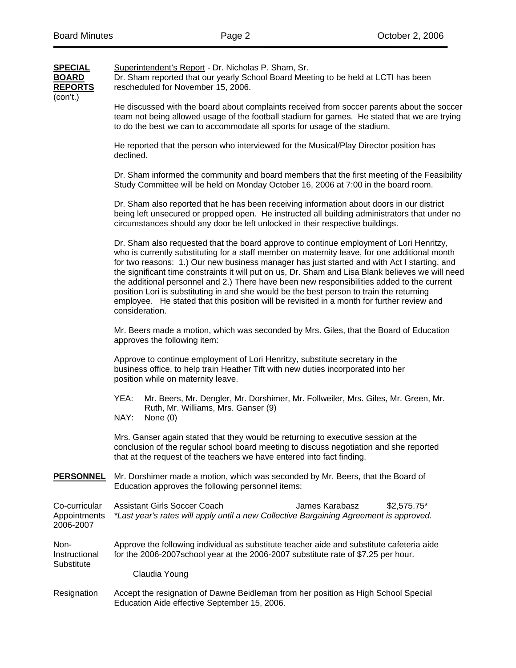| SPECIAL | Superintendent's Report - Dr. Nicholas P. Sham, Sr.                                |
|---------|------------------------------------------------------------------------------------|
| BOARD   | Dr. Sham reported that our yearly School Board Meeting to be held at LCTI has been |

**REPORTS** rescheduled for November 15, 2006. (con't.)

He discussed with the board about complaints received from soccer parents about the soccer team not being allowed usage of the football stadium for games. He stated that we are trying to do the best we can to accommodate all sports for usage of the stadium.

He reported that the person who interviewed for the Musical/Play Director position has declined.

Dr. Sham informed the community and board members that the first meeting of the Feasibility Study Committee will be held on Monday October 16, 2006 at 7:00 in the board room.

Dr. Sham also reported that he has been receiving information about doors in our district being left unsecured or propped open. He instructed all building administrators that under no circumstances should any door be left unlocked in their respective buildings.

Dr. Sham also requested that the board approve to continue employment of Lori Henritzy, who is currently substituting for a staff member on maternity leave, for one additional month for two reasons: 1.) Our new business manager has just started and with Act I starting, and the significant time constraints it will put on us, Dr. Sham and Lisa Blank believes we will need the additional personnel and 2.) There have been new responsibilities added to the current position Lori is substituting in and she would be the best person to train the returning employee. He stated that this position will be revisited in a month for further review and consideration.

Mr. Beers made a motion, which was seconded by Mrs. Giles, that the Board of Education approves the following item:

 Approve to continue employment of Lori Henritzy, substitute secretary in the business office, to help train Heather Tift with new duties incorporated into her position while on maternity leave.

- YEA: Mr. Beers, Mr. Dengler, Mr. Dorshimer, Mr. Follweiler, Mrs. Giles, Mr. Green, Mr. Ruth, Mr. Williams, Mrs. Ganser (9)<br>NAY: None (0)
- None (0)

 Mrs. Ganser again stated that they would be returning to executive session at the conclusion of the regular school board meeting to discuss negotiation and she reported that at the request of the teachers we have entered into fact finding.

**PERSONNEL** Mr. Dorshimer made a motion, which was seconded by Mr. Beers, that the Board of Education approves the following personnel items:

Co-curricular Assistant Girls Soccer Coach James Karabasz 52.575.75\* Appointments *\*Last year's rates will apply until a new Collective Bargaining Agreement is approved.* 2006-2007

Non- Approve the following individual as substitute teacher aide and substitute cafeteria aide Instructional for the 2006-2007 school year at the 2006-2007 substitute rate of \$7.25 per hour. Substitute

Claudia Young

Resignation Accept the resignation of Dawne Beidleman from her position as High School Special Education Aide effective September 15, 2006.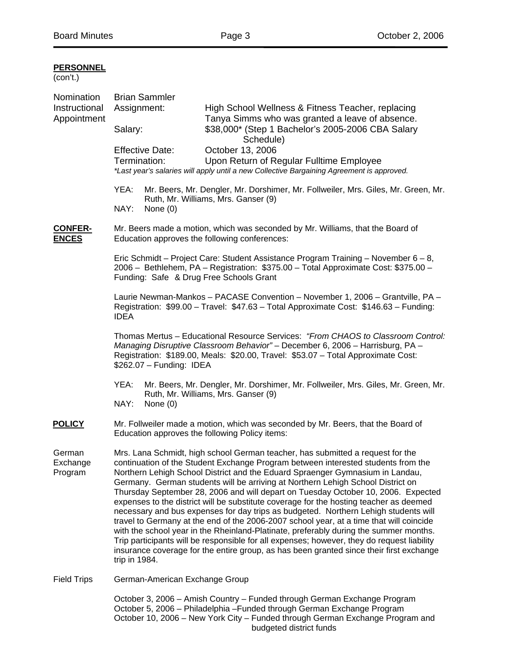| (con't.) |
|----------|
|----------|

| Nomination                     | <b>Brian Sammler</b>                                                                                                                                                                                                                                                                                                                                                                                                                                                                                                                                                                                                                                                                                                                                                                                                                                                                                                                                                                                        |                        |                                                                                                                                       |  |  |
|--------------------------------|-------------------------------------------------------------------------------------------------------------------------------------------------------------------------------------------------------------------------------------------------------------------------------------------------------------------------------------------------------------------------------------------------------------------------------------------------------------------------------------------------------------------------------------------------------------------------------------------------------------------------------------------------------------------------------------------------------------------------------------------------------------------------------------------------------------------------------------------------------------------------------------------------------------------------------------------------------------------------------------------------------------|------------------------|---------------------------------------------------------------------------------------------------------------------------------------|--|--|
| Instructional<br>Appointment   | Assignment:                                                                                                                                                                                                                                                                                                                                                                                                                                                                                                                                                                                                                                                                                                                                                                                                                                                                                                                                                                                                 |                        | High School Wellness & Fitness Teacher, replacing<br>Tanya Simms who was granted a leave of absence.                                  |  |  |
|                                | Salary:                                                                                                                                                                                                                                                                                                                                                                                                                                                                                                                                                                                                                                                                                                                                                                                                                                                                                                                                                                                                     |                        | \$38,000* (Step 1 Bachelor's 2005-2006 CBA Salary<br>Schedule)                                                                        |  |  |
|                                |                                                                                                                                                                                                                                                                                                                                                                                                                                                                                                                                                                                                                                                                                                                                                                                                                                                                                                                                                                                                             | <b>Effective Date:</b> | October 13, 2006                                                                                                                      |  |  |
|                                | Termination:                                                                                                                                                                                                                                                                                                                                                                                                                                                                                                                                                                                                                                                                                                                                                                                                                                                                                                                                                                                                |                        | Upon Return of Regular Fulltime Employee<br>*Last year's salaries will apply until a new Collective Bargaining Agreement is approved. |  |  |
|                                | YEA:<br>NAY:                                                                                                                                                                                                                                                                                                                                                                                                                                                                                                                                                                                                                                                                                                                                                                                                                                                                                                                                                                                                | None $(0)$             | Mr. Beers, Mr. Dengler, Mr. Dorshimer, Mr. Follweiler, Mrs. Giles, Mr. Green, Mr.<br>Ruth, Mr. Williams, Mrs. Ganser (9)              |  |  |
| <b>CONFER-</b><br><b>ENCES</b> | Mr. Beers made a motion, which was seconded by Mr. Williams, that the Board of<br>Education approves the following conferences:                                                                                                                                                                                                                                                                                                                                                                                                                                                                                                                                                                                                                                                                                                                                                                                                                                                                             |                        |                                                                                                                                       |  |  |
|                                | Eric Schmidt – Project Care: Student Assistance Program Training – November $6 - 8$ ,<br>2006 - Bethlehem, PA - Registration: \$375.00 - Total Approximate Cost: \$375.00 -<br>Funding: Safe & Drug Free Schools Grant                                                                                                                                                                                                                                                                                                                                                                                                                                                                                                                                                                                                                                                                                                                                                                                      |                        |                                                                                                                                       |  |  |
|                                | Laurie Newman-Mankos - PACASE Convention - November 1, 2006 - Grantville, PA -<br>Registration: \$99.00 - Travel: \$47.63 - Total Approximate Cost: \$146.63 - Funding:<br><b>IDEA</b>                                                                                                                                                                                                                                                                                                                                                                                                                                                                                                                                                                                                                                                                                                                                                                                                                      |                        |                                                                                                                                       |  |  |
|                                | Thomas Mertus - Educational Resource Services: "From CHAOS to Classroom Control:<br>Managing Disruptive Classroom Behavior" - December 6, 2006 - Harrisburg, PA -<br>Registration: \$189.00, Meals: \$20.00, Travel: \$53.07 - Total Approximate Cost:<br>\$262.07 - Funding: IDEA                                                                                                                                                                                                                                                                                                                                                                                                                                                                                                                                                                                                                                                                                                                          |                        |                                                                                                                                       |  |  |
|                                | YEA:<br>NAY:                                                                                                                                                                                                                                                                                                                                                                                                                                                                                                                                                                                                                                                                                                                                                                                                                                                                                                                                                                                                | None $(0)$             | Mr. Beers, Mr. Dengler, Mr. Dorshimer, Mr. Follweiler, Mrs. Giles, Mr. Green, Mr.<br>Ruth, Mr. Williams, Mrs. Ganser (9)              |  |  |
| <b>POLICY</b>                  | Mr. Follweiler made a motion, which was seconded by Mr. Beers, that the Board of<br>Education approves the following Policy items:                                                                                                                                                                                                                                                                                                                                                                                                                                                                                                                                                                                                                                                                                                                                                                                                                                                                          |                        |                                                                                                                                       |  |  |
| German<br>Exchange<br>Program  | Mrs. Lana Schmidt, high school German teacher, has submitted a request for the<br>continuation of the Student Exchange Program between interested students from the<br>Northern Lehigh School District and the Eduard Spraenger Gymnasium in Landau,<br>Germany. German students will be arriving at Northern Lehigh School District on<br>Thursday September 28, 2006 and will depart on Tuesday October 10, 2006. Expected<br>expenses to the district will be substitute coverage for the hosting teacher as deemed<br>necessary and bus expenses for day trips as budgeted. Northern Lehigh students will<br>travel to Germany at the end of the 2006-2007 school year, at a time that will coincide<br>with the school year in the Rheinland-Platinate, preferably during the summer months.<br>Trip participants will be responsible for all expenses; however, they do request liability<br>insurance coverage for the entire group, as has been granted since their first exchange<br>trip in 1984. |                        |                                                                                                                                       |  |  |
| <b>Field Trips</b>             | German-American Exchange Group                                                                                                                                                                                                                                                                                                                                                                                                                                                                                                                                                                                                                                                                                                                                                                                                                                                                                                                                                                              |                        |                                                                                                                                       |  |  |
|                                | October 3, 2006 - Amish Country - Funded through German Exchange Program<br>October 5, 2006 – Philadelphia – Funded through German Exchange Program                                                                                                                                                                                                                                                                                                                                                                                                                                                                                                                                                                                                                                                                                                                                                                                                                                                         |                        |                                                                                                                                       |  |  |

 October 5, 2006 – Philadelphia –Funded through German Exchange Program October 10, 2006 – New York City – Funded through German Exchange Program and budgeted district funds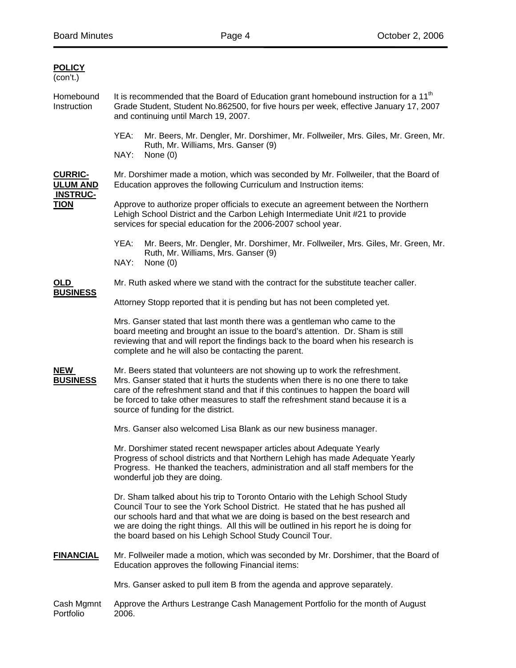| <b>POLICY</b><br>(con't.)                                           |                                                                                                                                                                                                                                                                                                                                                                                                         |  |  |  |  |
|---------------------------------------------------------------------|---------------------------------------------------------------------------------------------------------------------------------------------------------------------------------------------------------------------------------------------------------------------------------------------------------------------------------------------------------------------------------------------------------|--|--|--|--|
| Homebound<br>Instruction                                            | It is recommended that the Board of Education grant homebound instruction for a 11 <sup>th</sup><br>Grade Student, Student No.862500, for five hours per week, effective January 17, 2007<br>and continuing until March 19, 2007.                                                                                                                                                                       |  |  |  |  |
|                                                                     | YEA:<br>Mr. Beers, Mr. Dengler, Mr. Dorshimer, Mr. Follweiler, Mrs. Giles, Mr. Green, Mr.<br>Ruth, Mr. Williams, Mrs. Ganser (9)<br>NAY:<br>None $(0)$                                                                                                                                                                                                                                                  |  |  |  |  |
| <b>CURRIC-</b><br><b>ULUM AND</b><br><b>INSTRUC-</b><br><b>TION</b> | Mr. Dorshimer made a motion, which was seconded by Mr. Follweiler, that the Board of<br>Education approves the following Curriculum and Instruction items:                                                                                                                                                                                                                                              |  |  |  |  |
|                                                                     | Approve to authorize proper officials to execute an agreement between the Northern<br>Lehigh School District and the Carbon Lehigh Intermediate Unit #21 to provide<br>services for special education for the 2006-2007 school year.                                                                                                                                                                    |  |  |  |  |
|                                                                     | YEA:<br>Mr. Beers, Mr. Dengler, Mr. Dorshimer, Mr. Follweiler, Mrs. Giles, Mr. Green, Mr.<br>Ruth, Mr. Williams, Mrs. Ganser (9)<br>NAY:<br>None $(0)$                                                                                                                                                                                                                                                  |  |  |  |  |
| OLD                                                                 | Mr. Ruth asked where we stand with the contract for the substitute teacher caller.                                                                                                                                                                                                                                                                                                                      |  |  |  |  |
| <b>BUSINESS</b>                                                     | Attorney Stopp reported that it is pending but has not been completed yet.                                                                                                                                                                                                                                                                                                                              |  |  |  |  |
|                                                                     | Mrs. Ganser stated that last month there was a gentleman who came to the<br>board meeting and brought an issue to the board's attention. Dr. Sham is still<br>reviewing that and will report the findings back to the board when his research is<br>complete and he will also be contacting the parent.                                                                                                 |  |  |  |  |
| <b>NEW</b><br><b>BUSINESS</b>                                       | Mr. Beers stated that volunteers are not showing up to work the refreshment.<br>Mrs. Ganser stated that it hurts the students when there is no one there to take<br>care of the refreshment stand and that if this continues to happen the board will<br>be forced to take other measures to staff the refreshment stand because it is a<br>source of funding for the district.                         |  |  |  |  |
|                                                                     | Mrs. Ganser also welcomed Lisa Blank as our new business manager.                                                                                                                                                                                                                                                                                                                                       |  |  |  |  |
|                                                                     | Mr. Dorshimer stated recent newspaper articles about Adequate Yearly<br>Progress of school districts and that Northern Lehigh has made Adequate Yearly<br>Progress. He thanked the teachers, administration and all staff members for the<br>wonderful job they are doing.                                                                                                                              |  |  |  |  |
|                                                                     | Dr. Sham talked about his trip to Toronto Ontario with the Lehigh School Study<br>Council Tour to see the York School District. He stated that he has pushed all<br>our schools hard and that what we are doing is based on the best research and<br>we are doing the right things. All this will be outlined in his report he is doing for<br>the board based on his Lehigh School Study Council Tour. |  |  |  |  |
| <b>FINANCIAL</b>                                                    | Mr. Follweiler made a motion, which was seconded by Mr. Dorshimer, that the Board of<br>Education approves the following Financial items:                                                                                                                                                                                                                                                               |  |  |  |  |
|                                                                     | Mrs. Ganser asked to pull item B from the agenda and approve separately.                                                                                                                                                                                                                                                                                                                                |  |  |  |  |
| Cash Mgmnt<br>Portfolio                                             | Approve the Arthurs Lestrange Cash Management Portfolio for the month of August<br>2006.                                                                                                                                                                                                                                                                                                                |  |  |  |  |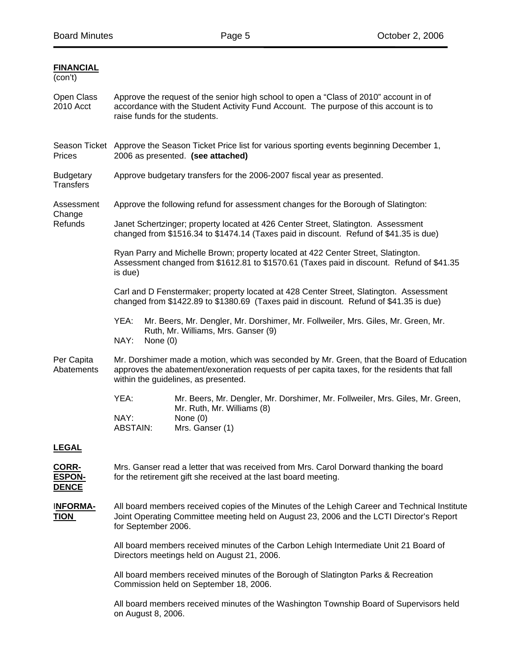**FINANCIAL**

| (con't)                                       |                                                                                                                                                                                                                                   |  |  |  |  |
|-----------------------------------------------|-----------------------------------------------------------------------------------------------------------------------------------------------------------------------------------------------------------------------------------|--|--|--|--|
| Open Class<br>2010 Acct                       | Approve the request of the senior high school to open a "Class of 2010" account in of<br>accordance with the Student Activity Fund Account. The purpose of this account is to<br>raise funds for the students.                    |  |  |  |  |
| Prices                                        | Season Ticket Approve the Season Ticket Price list for various sporting events beginning December 1,<br>2006 as presented. (see attached)                                                                                         |  |  |  |  |
| <b>Budgetary</b><br><b>Transfers</b>          | Approve budgetary transfers for the 2006-2007 fiscal year as presented.                                                                                                                                                           |  |  |  |  |
| Assessment<br>Change<br>Refunds               | Approve the following refund for assessment changes for the Borough of Slatington:                                                                                                                                                |  |  |  |  |
|                                               | Janet Schertzinger; property located at 426 Center Street, Slatington. Assessment<br>changed from \$1516.34 to \$1474.14 (Taxes paid in discount. Refund of \$41.35 is due)                                                       |  |  |  |  |
|                                               | Ryan Parry and Michelle Brown; property located at 422 Center Street, Slatington.<br>Assessment changed from \$1612.81 to \$1570.61 (Taxes paid in discount. Refund of \$41.35<br>is due)                                         |  |  |  |  |
|                                               | Carl and D Fenstermaker; property located at 428 Center Street, Slatington. Assessment<br>changed from \$1422.89 to \$1380.69 (Taxes paid in discount. Refund of \$41.35 is due)                                                  |  |  |  |  |
|                                               | YEA:<br>Mr. Beers, Mr. Dengler, Mr. Dorshimer, Mr. Follweiler, Mrs. Giles, Mr. Green, Mr.<br>Ruth, Mr. Williams, Mrs. Ganser (9)<br>NAY:<br>None (0)                                                                              |  |  |  |  |
| Per Capita<br>Abatements                      | Mr. Dorshimer made a motion, which was seconded by Mr. Green, that the Board of Education<br>approves the abatement/exoneration requests of per capita taxes, for the residents that fall<br>within the guidelines, as presented. |  |  |  |  |
|                                               | YEA:<br>Mr. Beers, Mr. Dengler, Mr. Dorshimer, Mr. Follweiler, Mrs. Giles, Mr. Green,<br>Mr. Ruth, Mr. Williams (8)<br>NAY:<br>None $(0)$<br>Mrs. Ganser (1)<br><b>ABSTAIN:</b>                                                   |  |  |  |  |
| <b>LEGAL</b>                                  |                                                                                                                                                                                                                                   |  |  |  |  |
| <u>CORR-</u><br><b>ESPON-</b><br><b>DENCE</b> | Mrs. Ganser read a letter that was received from Mrs. Carol Dorward thanking the board<br>for the retirement gift she received at the last board meeting.                                                                         |  |  |  |  |
| <b>INFORMA-</b><br><b>TION</b>                | All board members received copies of the Minutes of the Lehigh Career and Technical Institute<br>Joint Operating Committee meeting held on August 23, 2006 and the LCTI Director's Report<br>for September 2006.                  |  |  |  |  |
|                                               | All board members received minutes of the Carbon Lehigh Intermediate Unit 21 Board of<br>Directors meetings held on August 21, 2006.                                                                                              |  |  |  |  |
|                                               | All board members received minutes of the Borough of Slatington Parks & Recreation<br>Commission held on September 18, 2006.                                                                                                      |  |  |  |  |
|                                               | All board members received minutes of the Washington Township Board of Supervisors held<br>on August 8, 2006.                                                                                                                     |  |  |  |  |